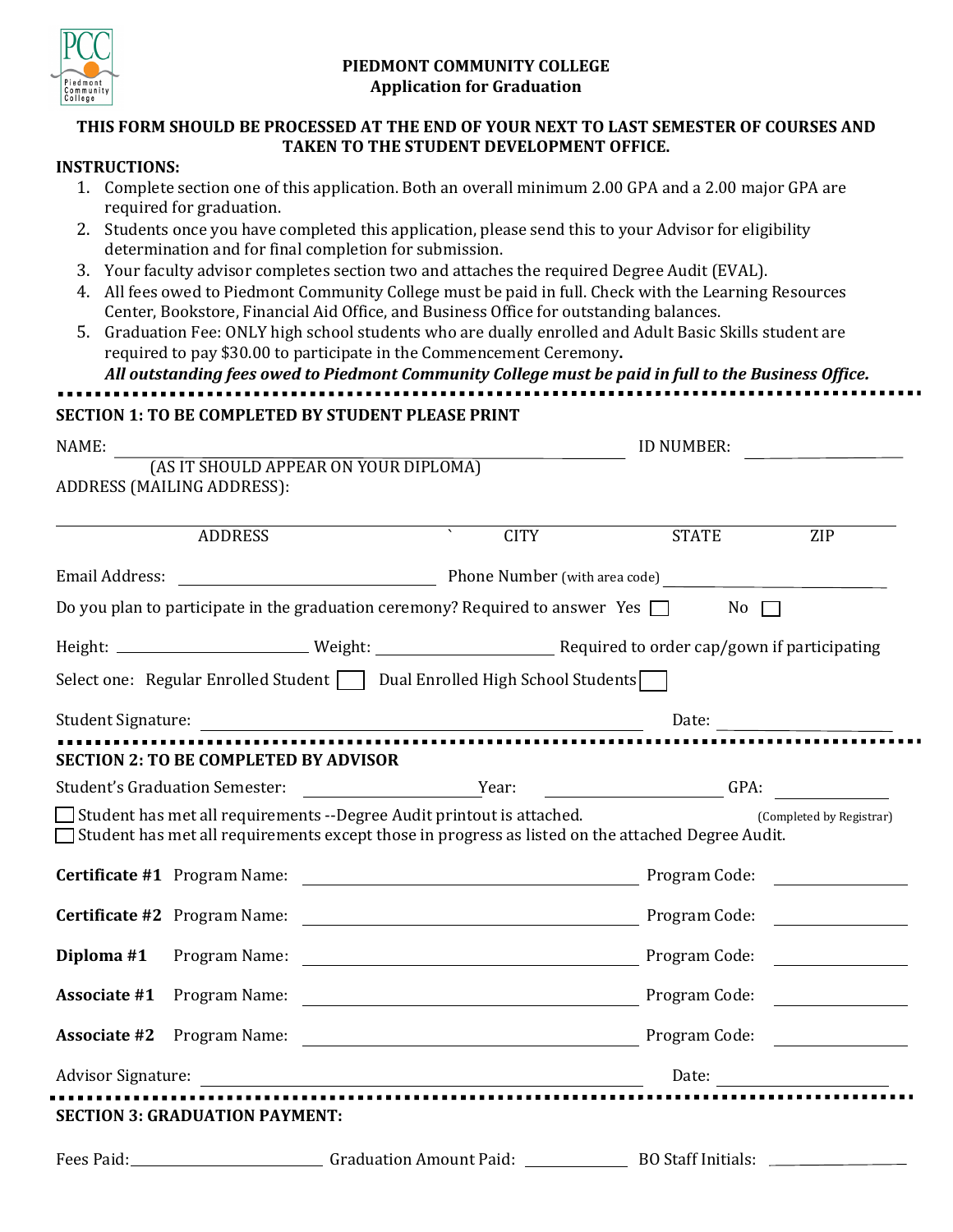

## **PIEDMONT COMMUNITY COLLEGE Application for Graduation**

## **THIS FORM SHOULD BE PROCESSED AT THE END OF YOUR NEXT TO LAST SEMESTER OF COURSES AND TAKEN TO THE STUDENT DEVELOPMENT OFFICE.**

## **INSTRUCTIONS:**

|                | 1. Complete section one of this application. Both an overall minimum 2.00 GPA and a 2.00 major GPA are<br>required for graduation.                                                                     |                                                                                                                                                                                                                                                                                                                                                                                                                                                                                                                        |                               |                          |  |
|----------------|--------------------------------------------------------------------------------------------------------------------------------------------------------------------------------------------------------|------------------------------------------------------------------------------------------------------------------------------------------------------------------------------------------------------------------------------------------------------------------------------------------------------------------------------------------------------------------------------------------------------------------------------------------------------------------------------------------------------------------------|-------------------------------|--------------------------|--|
|                | 2. Students once you have completed this application, please send this to your Advisor for eligibility                                                                                                 |                                                                                                                                                                                                                                                                                                                                                                                                                                                                                                                        |                               |                          |  |
|                | determination and for final completion for submission.                                                                                                                                                 |                                                                                                                                                                                                                                                                                                                                                                                                                                                                                                                        |                               |                          |  |
|                | 3. Your faculty advisor completes section two and attaches the required Degree Audit (EVAL).<br>4. All fees owed to Piedmont Community College must be paid in full. Check with the Learning Resources |                                                                                                                                                                                                                                                                                                                                                                                                                                                                                                                        |                               |                          |  |
|                | Center, Bookstore, Financial Aid Office, and Business Office for outstanding balances.                                                                                                                 |                                                                                                                                                                                                                                                                                                                                                                                                                                                                                                                        |                               |                          |  |
|                | 5. Graduation Fee: ONLY high school students who are dually enrolled and Adult Basic Skills student are                                                                                                |                                                                                                                                                                                                                                                                                                                                                                                                                                                                                                                        |                               |                          |  |
|                |                                                                                                                                                                                                        | required to pay \$30.00 to participate in the Commencement Ceremony.                                                                                                                                                                                                                                                                                                                                                                                                                                                   |                               |                          |  |
|                |                                                                                                                                                                                                        | All outstanding fees owed to Piedmont Community College must be paid in full to the Business Office.                                                                                                                                                                                                                                                                                                                                                                                                                   |                               |                          |  |
|                |                                                                                                                                                                                                        | <b>SECTION 1: TO BE COMPLETED BY STUDENT PLEASE PRINT</b>                                                                                                                                                                                                                                                                                                                                                                                                                                                              |                               |                          |  |
| NAME:          |                                                                                                                                                                                                        | ID NUMBER:                                                                                                                                                                                                                                                                                                                                                                                                                                                                                                             |                               |                          |  |
|                |                                                                                                                                                                                                        | (AS IT SHOULD APPEAR ON YOUR DIPLOMA)                                                                                                                                                                                                                                                                                                                                                                                                                                                                                  |                               |                          |  |
|                | ADDRESS (MAILING ADDRESS):                                                                                                                                                                             |                                                                                                                                                                                                                                                                                                                                                                                                                                                                                                                        |                               |                          |  |
|                | <b>ADDRESS</b>                                                                                                                                                                                         | <b>CITY</b>                                                                                                                                                                                                                                                                                                                                                                                                                                                                                                            | <b>STATE</b>                  | ZIP                      |  |
| Email Address: |                                                                                                                                                                                                        |                                                                                                                                                                                                                                                                                                                                                                                                                                                                                                                        | Phone Number (with area code) |                          |  |
|                |                                                                                                                                                                                                        | Do you plan to participate in the graduation ceremony? Required to answer Yes $\Box$                                                                                                                                                                                                                                                                                                                                                                                                                                   | $No \ \Box$                   |                          |  |
|                |                                                                                                                                                                                                        |                                                                                                                                                                                                                                                                                                                                                                                                                                                                                                                        |                               |                          |  |
|                |                                                                                                                                                                                                        |                                                                                                                                                                                                                                                                                                                                                                                                                                                                                                                        |                               |                          |  |
|                |                                                                                                                                                                                                        | Select one: Regular Enrolled Student $\Box$ Dual Enrolled High School Students $\Box$                                                                                                                                                                                                                                                                                                                                                                                                                                  |                               |                          |  |
|                |                                                                                                                                                                                                        |                                                                                                                                                                                                                                                                                                                                                                                                                                                                                                                        | Date:                         |                          |  |
|                | <b>SECTION 2: TO BE COMPLETED BY ADVISOR</b>                                                                                                                                                           |                                                                                                                                                                                                                                                                                                                                                                                                                                                                                                                        |                               |                          |  |
|                | <b>Student's Graduation Semester:</b>                                                                                                                                                                  | <b>Example 21 Year:</b>                                                                                                                                                                                                                                                                                                                                                                                                                                                                                                | $\overline{\phantom{a}}$ GPA: |                          |  |
|                |                                                                                                                                                                                                        | $\Box$ Student has met all requirements --Degree Audit printout is attached.<br>$\Box$ Student has met all requirements except those in progress as listed on the attached Degree Audit.                                                                                                                                                                                                                                                                                                                               |                               | (Completed by Registrar) |  |
|                | <b>Certificate #1</b> Program Name:                                                                                                                                                                    |                                                                                                                                                                                                                                                                                                                                                                                                                                                                                                                        | Program Code:                 |                          |  |
|                | Certificate #2 Program Name:                                                                                                                                                                           | $\begin{tabular}{c} \textbf{\textcolor{red}{\textbf{1}}\textcolor{red}{\textbf{1}}\textcolor{red}{\textbf{1}}\textcolor{red}{\textbf{1}}\textcolor{red}{\textbf{2}}\textcolor{red}{\textbf{1}}\textcolor{red}{\textbf{2}}\textcolor{red}{\textbf{2}}\textcolor{red}{\textbf{2}}\textcolor{red}{\textbf{2}}\textcolor{red}{\textbf{2}}\textcolor{red}{\textbf{2}}\textcolor{red}{\textbf{2}}\textcolor{red}{\textbf{2}}\textcolor{red}{\textbf{2}}\textcolor{red}{\textbf{2}}\textcolor{red}{\textbf{2}}\textcolor{red$ |                               |                          |  |
|                |                                                                                                                                                                                                        |                                                                                                                                                                                                                                                                                                                                                                                                                                                                                                                        |                               |                          |  |
|                |                                                                                                                                                                                                        |                                                                                                                                                                                                                                                                                                                                                                                                                                                                                                                        |                               |                          |  |
|                |                                                                                                                                                                                                        |                                                                                                                                                                                                                                                                                                                                                                                                                                                                                                                        |                               |                          |  |
|                |                                                                                                                                                                                                        |                                                                                                                                                                                                                                                                                                                                                                                                                                                                                                                        |                               |                          |  |
|                | <b>SECTION 3: GRADUATION PAYMENT:</b>                                                                                                                                                                  |                                                                                                                                                                                                                                                                                                                                                                                                                                                                                                                        |                               |                          |  |
|                |                                                                                                                                                                                                        | Fees Paid:_____________________________Graduation Amount Paid: __________________ BO Staff Initials: __________                                                                                                                                                                                                                                                                                                                                                                                                        |                               |                          |  |